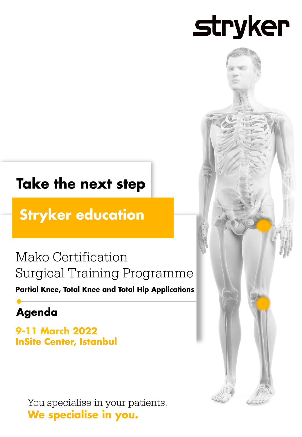# **stryker**

# **Take the next step**

**Stryker education** 

### Mako Certification **Surgical Training Programme**

**Partial Knee, Total Knee and Total Hip Applications** 

### **Agenda**

**9-11 March 2022 InSite Center, Istanbul** 

> You specialise in your patients. We specialise in you.

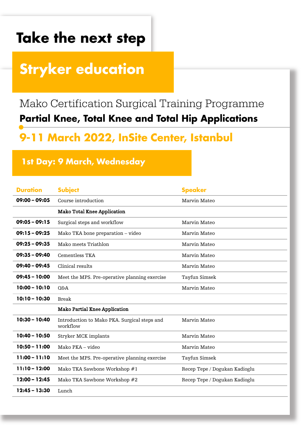# **Stryker education**

### Mako Certification Surgical Training Programme **Partial Knee, Total Knee and Total Hip Applications**

### 9-11 March 2022, InSite Center, Istanbul

#### 1st Day: 9 March, Wednesday

| <b>Duration</b> | <b>Subject</b>                                           | <b>Speaker</b>                |
|-----------------|----------------------------------------------------------|-------------------------------|
| $09:00 - 09:05$ | Course introduction                                      | Marvin Mateo                  |
|                 | <b>Mako Total Knee Application</b>                       |                               |
| $09:05 - 09:15$ | Surgical steps and workflow                              | Marvin Mateo                  |
| $09:15 - 09:25$ | Mako TKA bone preparation – video                        | Marvin Mateo                  |
| $09:25 - 09:35$ | Mako meets Triathlon                                     | Marvin Mateo                  |
| $09:35 - 09:40$ | Cementless TKA                                           | Marvin Mateo                  |
| $09:40 - 09:45$ | Clinical results                                         | Marvin Mateo                  |
| $09:45 - 10:00$ | Meet the MPS. Pre-operative planning exercise            | Tayfun Simsek                 |
| $10:00 - 10:10$ | <b>O&amp;A</b>                                           | Marvin Mateo                  |
| $10:10 - 10:30$ | <b>Break</b>                                             |                               |
|                 | <b>Mako Partial Knee Application</b>                     |                               |
| $10:30 - 10:40$ | Introduction to Mako PKA. Surgical steps and<br>workflow | Marvin Mateo                  |
| $10:40 - 10:50$ | Stryker MCK implants                                     | Marvin Mateo                  |
| $10:50 - 11:00$ | Mako PKA – video                                         | Marvin Mateo                  |
| $11:00 - 11:10$ | Meet the MPS. Pre-operative planning exercise            | Tayfun Simsek                 |
| $11:10 - 12:00$ | Mako TKA Sawbone Workshop #1                             | Recep Tepe / Dogukan Kadioglu |
| 12:00 - 12:45   | Mako TKA Sawbone Workshop #2                             | Recep Tepe / Dogukan Kadioglu |
| $12:45 - 13:30$ | Lunch                                                    |                               |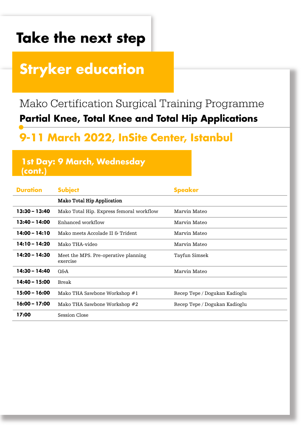# **Stryker education**

### Mako Certification Surgical Training Programme **Partial Knee, Total Knee and Total Hip Applications**

### 9-11 March 2022, InSite Center, Istanbul

#### **1st Day: 9 March, Wednesday**  $($ cont. $)$

| <b>Duration</b> | <b>Subject</b>                                   | <b>Speaker</b>                |
|-----------------|--------------------------------------------------|-------------------------------|
|                 | <b>Mako Total Hip Application</b>                |                               |
| $13:30 - 13:40$ | Mako Total Hip. Express femoral workflow         | Marvin Mateo                  |
| $13:40 - 14:00$ | Enhanced workflow                                | Marvin Mateo                  |
| $14:00 - 14:10$ | Mako meets Accolade II & Trident                 | Marvin Mateo                  |
| $14:10 - 14:20$ | Mako THA-video                                   | Marvin Mateo                  |
| 14:20 - 14:30   | Meet the MPS. Pre-operative planning<br>exercise | Tayfun Simsek                 |
| 14:30 - 14:40   | Q&A                                              | Marvin Mateo                  |
| 14:40 - 15:00   | <b>Break</b>                                     |                               |
| $15:00 - 16:00$ | Mako THA Sawbone Workshop #1                     | Recep Tepe / Dogukan Kadioglu |
| $16:00 - 17:00$ | Mako THA Sawbone Workshop #2                     | Recep Tepe / Dogukan Kadioglu |
| 17:00           | Session Close                                    |                               |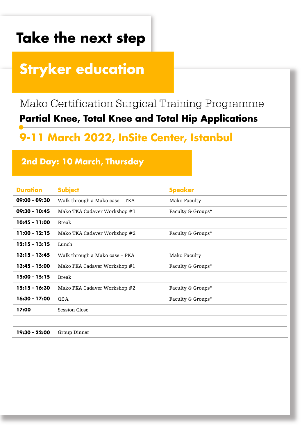# **Stryker education**

### Mako Certification Surgical Training Programme **Partial Knee, Total Knee and Total Hip Applications**

### 9-11 March 2022, InSite Center, Istanbul

#### 2nd Day: 10 March, Thursday

| <b>Duration</b> | <b>Subject</b>                 | <b>Speaker</b>    |
|-----------------|--------------------------------|-------------------|
| $09:00 - 09:30$ | Walk through a Mako case - TKA | Mako Faculty      |
| $09:30 - 10:45$ | Mako TKA Cadaver Workshop #1   | Faculty & Groups* |
| 10:45 - 11:00   | <b>Break</b>                   |                   |
| $11:00 - 12:15$ | Mako TKA Cadaver Workshop #2   | Faculty & Groups* |
| $12:15 - 13:15$ | Lunch                          |                   |
| $13:15 - 13:45$ | Walk through a Mako case - PKA | Mako Faculty      |
| $13:45 - 15:00$ | Mako PKA Cadaver Workshop #1   | Faculty & Groups* |
| $15:00 - 15:15$ | <b>Break</b>                   |                   |
| 15:15 - 16:30   | Mako PKA Cadaver Workshop #2   | Faculty & Groups* |
| 16:30 - 17:00   | Q&A                            | Faculty & Groups* |
| 17:00           | Session Close                  |                   |
|                 |                                |                   |
|                 |                                |                   |

19:30 - 22:00 Group Dinner